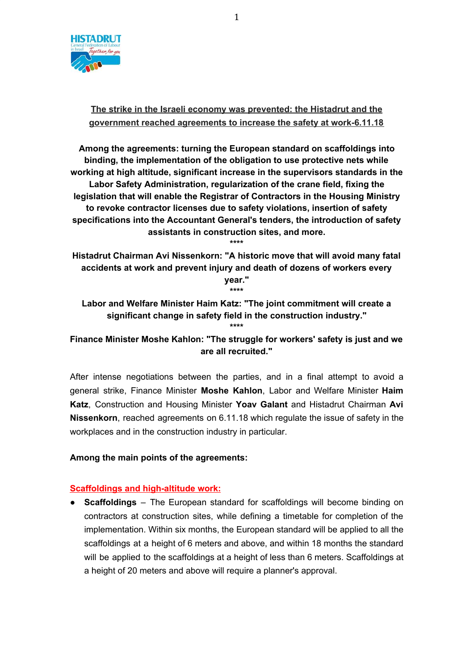

# **The strike in the Israeli economy was prevented: the Histadrut and the government reached agreements to increase the safety at work-6.11.18**

**Among the agreements: turning the European standard on scaffoldings into binding, the implementation of the obligation to use protective nets while working at high altitude, significant increase in the supervisors standards in the Labor Safety Administration, regularization of the crane field, fixing the legislation that will enable the Registrar of Contractors in the Housing Ministry to revoke contractor licenses due to safety violations, insertion of safety specifications into the Accountant General's tenders, the introduction of safety assistants in construction sites, and more.**

**\*\*\*\* Histadrut Chairman Avi Nissenkorn: "A historic move that will avoid many fatal accidents at work and prevent injury and death of dozens of workers every year."**

**\*\*\*\***

**Labor and Welfare Minister Haim Katz: "The joint commitment will create a significant change in safety field in the construction industry." \*\*\*\***

# **Finance Minister Moshe Kahlon: "The struggle for workers' safety is just and we are all recruited."**

After intense negotiations between the parties, and in a final attempt to avoid a general strike, Finance Minister **Moshe Kahlon**, Labor and Welfare Minister **Haim Katz**, Construction and Housing Minister **Yoav Galant** and Histadrut Chairman **Avi Nissenkorn**, reached agreements on 6.11.18 which regulate the issue of safety in the workplaces and in the construction industry in particular.

### **Among the main points of the agreements:**

# **Scaffoldings and high-altitude work:**

● **Scaffoldings** – The European standard for scaffoldings will become binding on contractors at construction sites, while defining a timetable for completion of the implementation. Within six months, the European standard will be applied to all the scaffoldings at a height of 6 meters and above, and within 18 months the standard will be applied to the scaffoldings at a height of less than 6 meters. Scaffoldings at a height of 20 meters and above will require a planner's approval.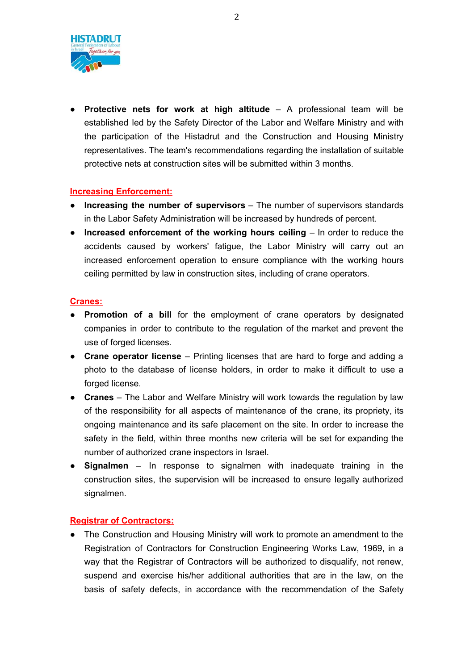

● **Protective nets for work at high altitude** – A professional team will be established led by the Safety Director of the Labor and Welfare Ministry and with the participation of the Histadrut and the Construction and Housing Ministry representatives. The team's recommendations regarding the installation of suitable protective nets at construction sites will be submitted within 3 months.

## **Increasing Enforcement:**

- **Increasing the number of supervisors** The number of supervisors standards in the Labor Safety Administration will be increased by hundreds of percent.
- **Increased enforcement of the working hours ceiling** In order to reduce the accidents caused by workers' fatigue, the Labor Ministry will carry out an increased enforcement operation to ensure compliance with the working hours ceiling permitted by law in construction sites, including of crane operators.

### **Cranes:**

- **Promotion of a bill** for the employment of crane operators by designated companies in order to contribute to the regulation of the market and prevent the use of forged licenses.
- **Crane operator license** Printing licenses that are hard to forge and adding a photo to the database of license holders, in order to make it difficult to use a forged license.
- **Cranes** The Labor and Welfare Ministry will work towards the regulation by law of the responsibility for all aspects of maintenance of the crane, its propriety, its ongoing maintenance and its safe placement on the site. In order to increase the safety in the field, within three months new criteria will be set for expanding the number of authorized crane inspectors in Israel.
- **Signalmen** In response to signalmen with inadequate training in the construction sites, the supervision will be increased to ensure legally authorized signalmen.

### **Registrar of Contractors:**

● The Construction and Housing Ministry will work to promote an amendment to the Registration of Contractors for Construction Engineering Works Law, 1969, in a way that the Registrar of Contractors will be authorized to disqualify, not renew, suspend and exercise his/her additional authorities that are in the law, on the basis of safety defects, in accordance with the recommendation of the Safety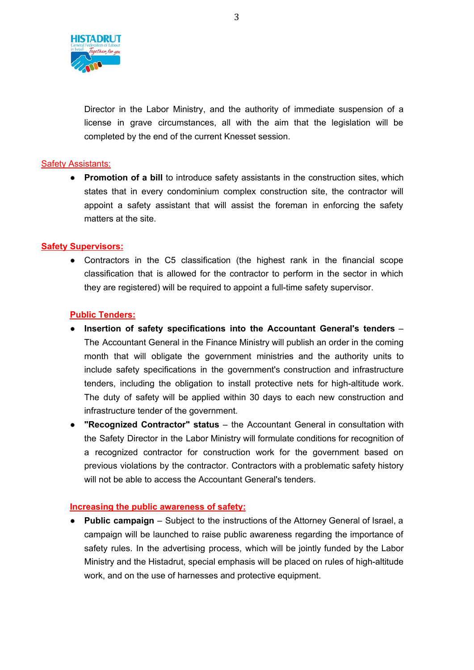

Director in the Labor Ministry, and the authority of immediate suspension of a license in grave circumstances, all with the aim that the legislation will be completed by the end of the current Knesset session.

## Safety Assistants:

● **Promotion of a bill** to introduce safety assistants in the construction sites, which states that in every condominium complex construction site, the contractor will appoint a safety assistant that will assist the foreman in enforcing the safety matters at the site.

## **Safety Supervisors:**

● Contractors in the C5 classification (the highest rank in the financial scope classification that is allowed for the contractor to perform in the sector in which they are registered) will be required to appoint a full-time safety supervisor.

## **Public Tenders:**

- **Insertion of safety specifications into the Accountant General's tenders** The Accountant General in the Finance Ministry will publish an order in the coming month that will obligate the government ministries and the authority units to include safety specifications in the government's construction and infrastructure tenders, including the obligation to install protective nets for high-altitude work. The duty of safety will be applied within 30 days to each new construction and infrastructure tender of the government.
- **"Recognized Contractor" status** the Accountant General in consultation with the Safety Director in the Labor Ministry will formulate conditions for recognition of a recognized contractor for construction work for the government based on previous violations by the contractor. Contractors with a problematic safety history will not be able to access the Accountant General's tenders.

### **Increasing the public awareness of safety:**

● **Public campaign** – Subject to the instructions of the Attorney General of Israel, a campaign will be launched to raise public awareness regarding the importance of safety rules. In the advertising process, which will be jointly funded by the Labor Ministry and the Histadrut, special emphasis will be placed on rules of high-altitude work, and on the use of harnesses and protective equipment.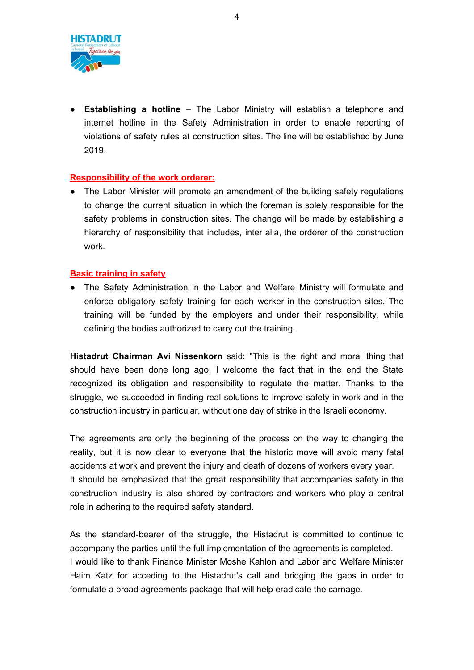

● **Establishing a hotline** – The Labor Ministry will establish a telephone and internet hotline in the Safety Administration in order to enable reporting of violations of safety rules at construction sites. The line will be established by June 2019.

# **Responsibility of the work orderer:**

● The Labor Minister will promote an amendment of the building safety regulations to change the current situation in which the foreman is solely responsible for the safety problems in construction sites. The change will be made by establishing a hierarchy of responsibility that includes, inter alia, the orderer of the construction work.

### **Basic training in safety**

● The Safety Administration in the Labor and Welfare Ministry will formulate and enforce obligatory safety training for each worker in the construction sites. The training will be funded by the employers and under their responsibility, while defining the bodies authorized to carry out the training.

**Histadrut Chairman Avi Nissenkorn** said: "This is the right and moral thing that should have been done long ago. I welcome the fact that in the end the State recognized its obligation and responsibility to regulate the matter. Thanks to the struggle, we succeeded in finding real solutions to improve safety in work and in the construction industry in particular, without one day of strike in the Israeli economy.

The agreements are only the beginning of the process on the way to changing the reality, but it is now clear to everyone that the historic move will avoid many fatal accidents at work and prevent the injury and death of dozens of workers every year. It should be emphasized that the great responsibility that accompanies safety in the construction industry is also shared by contractors and workers who play a central role in adhering to the required safety standard.

As the standard-bearer of the struggle, the Histadrut is committed to continue to accompany the parties until the full implementation of the agreements is completed. I would like to thank Finance Minister Moshe Kahlon and Labor and Welfare Minister Haim Katz for acceding to the Histadrut's call and bridging the gaps in order to formulate a broad agreements package that will help eradicate the carnage.